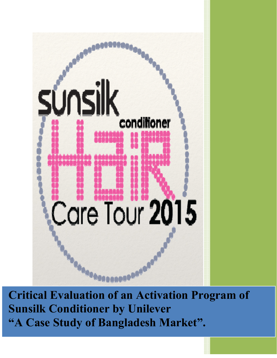

**Critical Evaluation of an Activation Program of Sunsilk Conditioner by Unilever "A Case Study of Bangladesh Market".**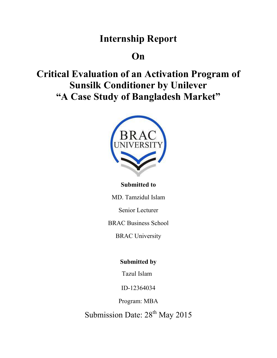## **Internship Report**

## **On**

**Critical Evaluation of an Activation Program of Sunsilk Conditioner by Unilever "A Case Study of Bangladesh Market"** 



### **Submitted to**

MD. Tamzidul Islam

Senior Lecturer

BRAC Business School

BRAC University

## **Submitted by**

Tazul Islam

ID-12364034

Program: MBA

Submission Date: 28<sup>th</sup> May 2015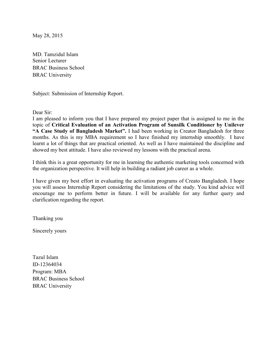May 28, 2015

MD. Tamzidul Islam Senior Lecturer BRAC Business School BRAC University

Subject: Submission of Internship Report.

Dear Sir:

I am pleased to inform you that I have prepared my project paper that is assigned to me in the topic of **Critical Evaluation of an Activation Program of Sunsilk Conditioner by Unilever "A Case Study of Bangladesh Market".** I had been working in Creator Bangladesh for three months. As this is my MBA requirement so I have finished my internship smoothly. I have learnt a lot of things that are practical oriented. As well as I have maintained the discipline and showed my best attitude. I have also reviewed my lessons with the practical arena.

I think this is a great opportunity for me in learning the authentic marketing tools concerned with the organization perspective. It will help in building a radiant job career as a whole.

I have given my best effort in evaluating the activation programs of Creato Bangladesh. I hope you will assess Internship Report considering the limitations of the study. You kind advice will encourage me to perform better in future. I will be available for any further query and clarification regarding the report.

Thanking you

Sincerely yours

Tazul Islam ID-12364034 Program: MBA BRAC Business School BRAC University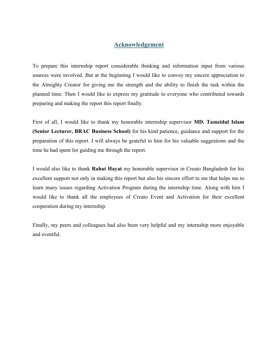#### **Acknowledgement**

To prepare this internship report considerable thinking and information input from various sources were involved. But at the beginning I would like to convey my sincere appreciation to the Almighty Creator for giving me the strength and the ability to finish the task within the planned time. Then I would like to express my gratitude to everyone who contributed towards preparing and making the report this report finally.

First of all, I would like to thank my honorable internship supervisor **MD. Tamzidul Islam (Senior Lecturer, BRAC Business School)** for his kind patience, guidance and support for the preparation of this report. I will always be grateful to him for his valuable suggestions and the time he had spent for guiding me through the report.

I would also like to thank **Rahat Hayat** my honorable supervisor in Creato Bangladesh for his excellent support not only in making this report but also his sincere effort to me that helps me to learn many issues regarding Activation Program during the internship time. Along with him I would like to thank all the employees of Creato Event and Activation for their excellent cooperation during my internship.

Finally, my peers and colleagues had also been very helpful and my internship more enjoyable and eventful.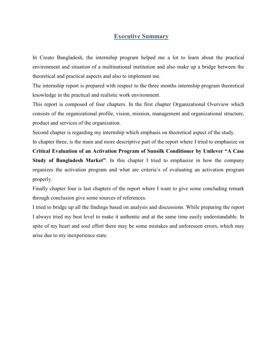#### **Executive Summary**

In Creato Bangladesh, the internship program helped me a lot to learn about the practical environment and situation of a multinational institution and also make up a bridge between the theoretical and practical aspects and also to implement me.

The internship report is prepared with respect to the three months internship program theoretical knowledge in the practical and realistic work environment.

This report is composed of four chapters. In the first chapter Organizational Overview which consists of the organizational profile, vision, mission, management and organizational structure, product and services of the organization.

Second chapter is regarding my internship which emphasis on theoretical aspect of the study.

In chapter three, is the main and more descriptive part of the report where I tried to emphasize on

**Critical Evaluation of an Activation Program of Sunsilk Conditioner by Unilever "A Case Study of Bangladesh Market"**. In this chapter I tried to emphasize in how the company organizes the activation program and what are criteria's of evaluating an activation program properly.

Finally chapter four is last chapters of the report where I want to give some concluding remark through conclusion give some sources of references.

I tried to bridge up all the findings based on analysis and discussions. While preparing the report I always tried my best level to make it authentic and at the same time easily understandable. In spite of my heart and soul effort there may be some mistakes and unforeseen errors, which may arise due to my inexperience state.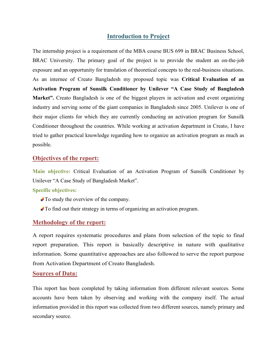#### **Introduction to Project**

The internship project is a requirement of the MBA course BUS 699 in BRAC Business School, BRAC University. The primary goal of the project is to provide the student an on-the-job exposure and an opportunity for translation of theoretical concepts to the real-business situations. As an internee of Creato Bangladesh my proposed topic was **Critical Evaluation of an Activation Program of Sunsilk Conditioner by Unilever "A Case Study of Bangladesh**  Market". Creato Bangladesh is one of the biggest players in activation and event organizing industry and serving some of the giant companies in Bangladesh since 2005. Unilever is one of their major clients for which they are currently conducting an activation program for Sunsilk Conditioner throughout the countries. While working at activation department in Creato, I have tried to gather practical knowledge regarding how to organize an activation program as much as possible.

#### **Objectives of the report:**

**Main objective:** Critical Evaluation of an Activation Program of Sunsilk Conditioner by Unilever "A Case Study of Bangladesh Market".

#### **Specific objectives:**

- $\triangle$  To study the overview of the company.
- To find out their strategy in terms of organizing an activation program.

#### **Methodology of the report:**

A report requires systematic procedures and plans from selection of the topic to final report preparation. This report is basically descriptive in nature with qualitative information. Some quantitative approaches are also followed to serve the report purpose from Activation Department of Creato Bangladesh.

#### **Sources of Data:**

This report has been completed by taking information from different relevant sources. Some accounts have been taken by observing and working with the company itself. The actual information provided in this report was collected from two different sources, namely primary and secondary source.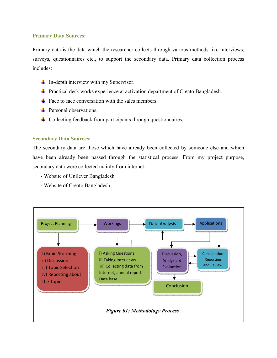#### **Primary Data Sources:**

Primary data is the data which the researcher collects through various methods like interviews, surveys, questionnaires etc., to support the secondary data. Primary data collection process includes:

- $\downarrow$  In-depth interview with my Supervisor.
- **Practical desk works experience at activation department of Creato Bangladesh.**
- $\frac{1}{\sqrt{2}}$  Face to face conversation with the sales members.
- $\div$  Personal observations.
- **↓** Collecting feedback from participants through questionnaires.

#### **Secondary Data Sources:**

The secondary data are those which have already been collected by someone else and which have been already been passed through the statistical process. From my project purpose, secondary data were collected mainly from internet.

- Website of Unilever Bangladesh
- Website of Creato Bangladesh

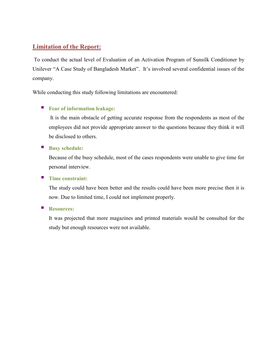### **Limitation of the Report:**

 To conduct the actual level of Evaluation of an Activation Program of Sunsilk Conditioner by Unilever "A Case Study of Bangladesh Market". It's involved several confidential issues of the company.

While conducting this study following limitations are encountered:

#### **Fear of information leakage:**

 It is the main obstacle of getting accurate response from the respondents as most of the employees did not provide appropriate answer to the questions because they think it will be disclosed to others.

#### **Busy schedule:**

Because of the busy schedule, most of the cases respondents were unable to give time for personal interview.

#### **Time constraint:**

The study could have been better and the results could have been more precise then it is now. Due to limited time, I could not implement properly.

#### **Resources:**

It was projected that more magazines and printed materials would be consulted for the study but enough resources were not available.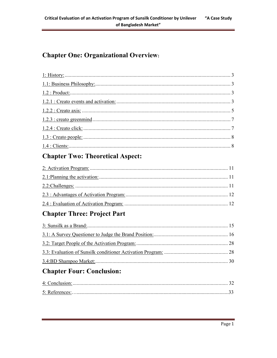## **Chapter One: Organizational Overview:**

## **Chapter Two: Theoretical Aspect:**

## **Chapter Three: Project Part**

## **Chapter Four: Conclusion:**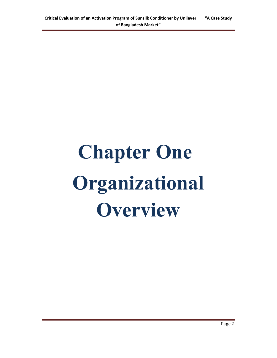## **Chapter One Organizational Overview**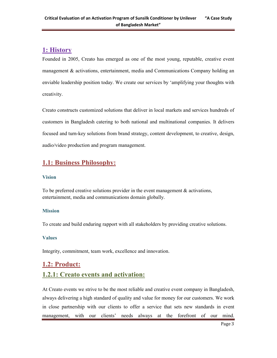### **1: History**

Founded in 2005, Creato has emerged as one of the most young, reputable, creative event management & activations, entertainment, media and Communications Company holding an enviable leadership position today. We create our services by 'amplifying your thoughts with creativity.

Creato constructs customized solutions that deliver in local markets and services hundreds of customers in Bangladesh catering to both national and multinational companies. It delivers focused and turn-key solutions from brand strategy, content development, to creative, design, audio/video production and program management.

## **1.1: Business Philosophy:**

#### **Vision**

To be preferred creative solutions provider in the event management  $\&$  activations, entertainment, media and communications domain globally.

#### **Mission**

To create and build enduring rapport with all stakeholders by providing creative solutions.

#### **Values**

Integrity, commitment, team work, excellence and innovation.

## **1.2: Product: 1.2.1: Creato events and activation:**

At Creato events we strive to be the most reliable and creative event company in Bangladesh, always delivering a high standard of quality and value for money for our customers. We work in close partnership with our clients to offer a service that sets new standards in event management, with our clients' needs always at the forefront of our mind.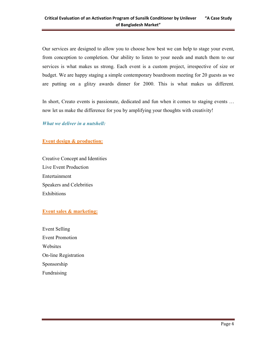Our services are designed to allow you to choose how best we can help to stage your event, from conception to completion. Our ability to listen to your needs and match them to our services is what makes us strong. Each event is a custom project, irrespective of size or budget. We are happy staging a simple contemporary boardroom meeting for 20 guests as we are putting on a glitzy awards dinner for 2000. This is what makes us different.

In short, Creato events is passionate, dedicated and fun when it comes to staging events … now let us make the difference for you by amplifying your thoughts with creativity!

*What we deliver in a nutshell:*

**Event design & production:** 

Creative Concept and Identities Live Event Production Entertainment Speakers and Celebrities Exhibitions

#### **Event sales & marketing:**

Event Selling Event Promotion Websites On-line Registration Sponsorship Fundraising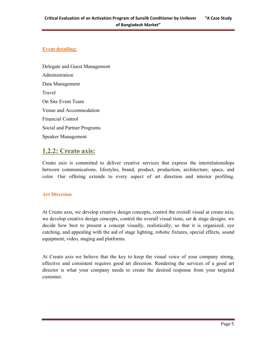#### **Event detailing:**

Delegate and Guest Management Administration Data Management Travel On Site Event Team Venue and Accommodation Financial Control Social and Partner Programs Speaker Management

## **1.2.2: Creato axis:**

Creato axis is committed to deliver creative services that express the interrelationships between communications, lifestyles, brand, product, production, architecture, space, and color. Our offering extends to every aspect of art direction and interior profiling.

#### **Art Direction**

At Creato axis, we develop creative design concepts, control the overall visual at creato axis, we develop creative design concepts, control the overall visual tions, set  $\&$  stage designs. we decide how best to present a concept visually, realistically, so that it is organized, eye catching, and appealing with the aid of stage lighting, robotic fixtures, special effects, sound equipment, video, staging and platforms.

At Creato axis we believe that the key to keep the visual voice of your company strong, effective and consistent requires good art direction. Rendering the services of a good art director is what your company needs to create the desired response from your targeted customer.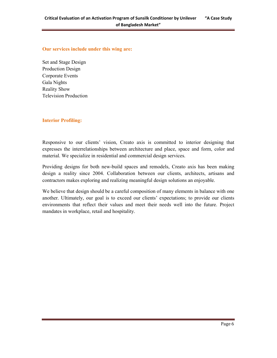#### **Our services include under this wing are:**

Set and Stage Design Production Design Corporate Events Gala Nights Reality Show Television Production

#### **Interior Profiling:**

Responsive to our clients' vision, Creato axis is committed to interior designing that expresses the interrelationships between architecture and place, space and form, color and material. We specialize in residential and commercial design services.

Providing designs for both new-build spaces and remodels, Creato axis has been making design a reality since 2004. Collaboration between our clients, architects, artisans and contractors makes exploring and realizing meaningful design solutions an enjoyable.

We believe that design should be a careful composition of many elements in balance with one another. Ultimately, our goal is to exceed our clients' expectations; to provide our clients environments that reflect their values and meet their needs well into the future. Project mandates in workplace, retail and hospitality.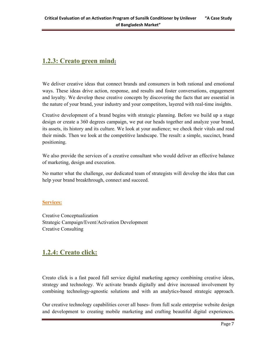## **1.2.3: Creato green mind:**

We deliver creative ideas that connect brands and consumers in both rational and emotional ways. These ideas drive action, response, and results and foster conversations, engagement and loyalty. We develop these creative concepts by discovering the facts that are essential in the nature of your brand, your industry and your competitors, layered with real-time insights.

Creative development of a brand begins with strategic planning. Before we build up a stage design or create a 360 degrees campaign, we put our heads together and analyze your brand, its assets, its history and its culture. We look at your audience; we check their vitals and read their minds. Then we look at the competitive landscape. The result: a simple, succinct, brand positioning.

We also provide the services of a creative consultant who would deliver an effective balance of marketing, design and execution.

No matter what the challenge, our dedicated team of strategists will develop the idea that can help your brand breakthrough, connect and succeed.

#### **Services:**

Creative Conceptualization Strategic Campaign/Event/Activation Development Creative Consulting

## **1.2.4: Creato click:**

Creato click is a fast paced full service digital marketing agency combining creative ideas, strategy and technology. We activate brands digitally and drive increased involvement by combining technology-agnostic solutions and with an analytics-based strategic approach.

Our creative technology capabilities cover all bases- from full scale enterprise website design and development to creating mobile marketing and crafting beautiful digital experiences.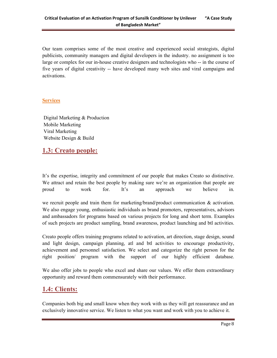Our team comprises some of the most creative and experienced social strategists, digital publicists, community managers and digital developers in the industry. no assignment is too large or complex for our in-house creative designers and technologists who -- in the course of five years of digital creativity -- have developed many web sites and viral campaigns and activations.

#### **Services**

 Digital Marketing & Production Mobile Marketing Viral Marketing Website Design & Build

## **1.3: Creato people:**

It's the expertise, integrity and commitment of our people that makes Creato so distinctive. We attract and retain the best people by making sure we're an organization that people are proud to work for. It's an approach we believe in.

we recruit people and train them for marketing/brand/product communication  $\&$  activation. We also engage young, enthusiastic individuals as brand promoters, representatives, advisors and ambassadors for programs based on various projects for long and short term. Examples of such projects are product sampling, brand awareness, product launching and btl activities.

Creato people offers training programs related to activation, art direction, stage design, sound and light design, campaign planning, atl and btl activities to encourage productivity, achievement and personnel satisfaction. We select and categorize the right person for the right position/ program with the support of our highly efficient database.

We also offer jobs to people who excel and share our values. We offer them extraordinary opportunity and reward them commensurately with their performance.

## **1.4: Clients:**

Companies both big and small know when they work with us they will get reassurance and an exclusively innovative service. We listen to what you want and work with you to achieve it.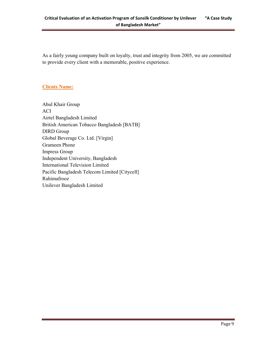As a fairly young company built on loyalty, trust and integrity from 2005, we are committed to provide every client with a memorable, positive experience.

#### **Clients Name:**

Abul Khair Group ACI Airtel Bangladesh Limited British American Tobacco Bangladesh [BATB] DIRD Group Global Beverage Co. Ltd. [Virgin] Grameen Phone Impress Group Independent University, Bangladesh International Television Limited Pacific Bangladesh Telecom Limited [Citycell] Rahimafrooz Unilever Bangladesh Limited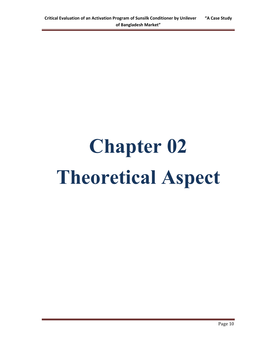## **Chapter 02 Theoretical Aspect**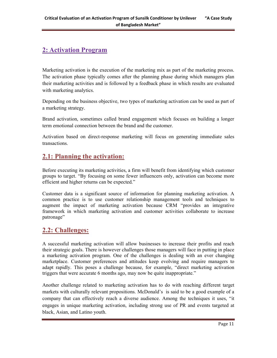## **2: Activation Program**

Marketing activation is the execution of the marketing mix as part of the marketing process. The activation phase typically comes after the planning phase during which managers plan their marketing activities and is followed by a feedback phase in which results are evaluated with marketing analytics.

Depending on the business objective, two types of marketing activation can be used as part of a marketing strategy.

Brand activation, sometimes called brand engagement which focuses on building a longer term emotional connection between the brand and the customer.

Activation based on direct-response marketing will focus on generating immediate sales transactions.

## **2.1: Planning the activation:**

Before executing its marketing activities, a firm will benefit from identifying which customer groups to target. "By focusing on some fewer influencers only, activation can become more efficient and higher returns can be expected."

Customer data is a significant source of information for planning marketing activation. A common practice is to use customer relationship management tools and techniques to augment the impact of marketing activation because CRM "provides an integrative framework in which marketing activation and customer activities collaborate to increase patronage"

## **2.2: Challenges:**

A successful marketing activation will allow businesses to increase their profits and reach their strategic goals. There is however challenges those managers will face in putting in place a marketing activation program. One of the challenges is dealing with an ever changing marketplace. Customer preferences and attitudes keep evolving and require managers to adapt rapidly. This poses a challenge because, for example, "direct marketing activation triggers that were accurate 6 months ago, may now be quite inappropriate."

Another challenge related to marketing activation has to do with reaching different target markets with culturally relevant propositions. McDonald's is said to be a good example of a company that can effectively reach a diverse audience. Among the techniques it uses, "it engages in unique marketing activation, including strong use of PR and events targeted at black, Asian, and Latino youth.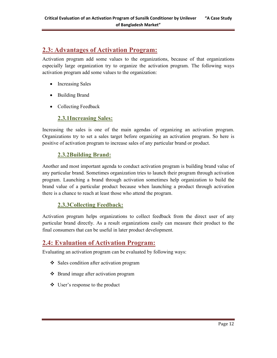## **2.3: Advantages of Activation Program:**

Activation program add some values to the organizations, because of that organizations especially large organization try to organize the activation program. The following ways activation program add some values to the organization:

- Increasing Sales
- Building Brand
- Collecting Feedback

#### **2.3.1Increasing Sales:**

Increasing the sales is one of the main agendas of organizing an activation program. Organizations try to set a sales target before organizing an activation program. So here is positive of activation program to increase sales of any particular brand or product.

#### **2.3.2Building Brand:**

Another and most important agenda to conduct activation program is building brand value of any particular brand. Sometimes organization tries to launch their program through activation program. Launching a brand through activation sometimes help organization to build the brand value of a particular product because when launching a product through activation there is a chance to reach at least those who attend the program.

#### **2.3.3Collecting Feedback:**

Activation program helps organizations to collect feedback from the direct user of any particular brand directly. As a result organizations easily can measure their product to the final consumers that can be useful in later product development.

## **2.4: Evaluation of Activation Program:**

Evaluating an activation program can be evaluated by following ways:

- Sales condition after activation program
- Brand image after activation program
- User's response to the product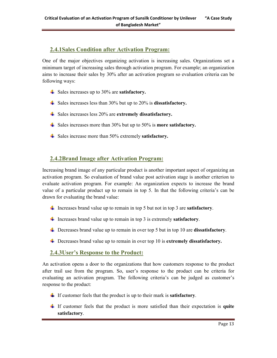#### **2.4.1Sales Condition after Activation Program:**

One of the major objectives organizing activation is increasing sales. Organizations set a minimum target of increasing sales through activation program. For example; an organization aims to increase their sales by 30% after an activation program so evaluation criteria can be following ways:

- Sales increases up to 30% are **satisfactory.**
- Sales increases less than 30% but up to 20% is **dissatisfactory.**
- Sales increases less 20% are **extremely dissatisfactory.**
- Sales increases more than 30% but up to 50% is **more satisfactory.**
- Sales increase more than 50% extremely **satisfactory.**

#### **2.4.2Brand Image after Activation Program:**

Increasing brand image of any particular product is another important aspect of organizing an activation program. So evaluation of brand value post activation stage is another criterion to evaluate activation program. For example: An organization expects to increase the brand value of a particular product up to remain in top 5. In that the following criteria's can be drawn for evaluating the brand value:

- Increases brand value up to remain in top 5 but not in top 3 are **satisfactory**.
- Increases brand value up to remain in top 3 is extremely **satisfactory**.
- Decreases brand value up to remain in over top 5 but in top 10 are **dissatisfactory**.
- Decreases brand value up to remain in over top 10 is **extremely dissatisfactory.**

#### **2.4.3User's Response to the Product:**

An activation opens a door to the organizations that how customers response to the product after trail use from the program. So, user's response to the product can be criteria for evaluating an activation program. The following criteria's can be judged as customer's response to the product:

- If customer feels that the product is up to their mark is **satisfactory**.
- If customer feels that the product is more satisfied than their expectation is **quite satisfactory**.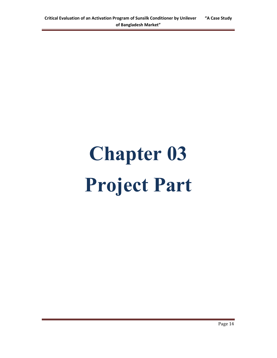# **Chapter 03 Project Part**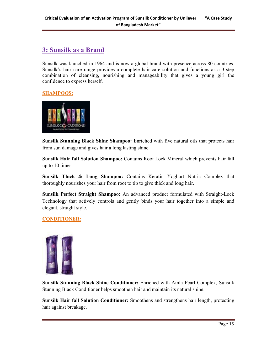## **3: Sunsilk as a Brand**

Sunsilk was launched in 1964 and is now a global brand with presence across 80 countries. Sunsilk's hair care range provides a complete hair care solution and functions as a 3-step combination of cleansing, nourishing and manageability that gives a young girl the confidence to express herself.

#### **SHAMPOOS:**



**Sunsilk Stunning Black Shine Shampoo:** Enriched with five natural oils that protects hair from sun damage and gives hair a long lasting shine.

**Sunsilk Hair fall Solution Shampoo:** Contains Root Lock Mineral which prevents hair fall up to 10 times.

**Sunsilk Thick & Long Shampoo:** Contains Keratin Yoghurt Nutria Complex that thoroughly nourishes your hair from root to tip to give thick and long hair.

**Sunsilk Perfect Straight Shampoo:** An advanced product formulated with Straight-Lock Technology that actively controls and gently binds your hair together into a simple and elegant, straight style.

#### **CONDITIONER:**



**Sunsilk Stunning Black Shine Conditioner:** Enriched with Amla Pearl Complex, Sunsilk Stunning Black Conditioner helps smoothen hair and maintain its natural shine.

**Sunsilk Hair fall Solution Conditioner:** Smoothens and strengthens hair length, protecting hair against breakage.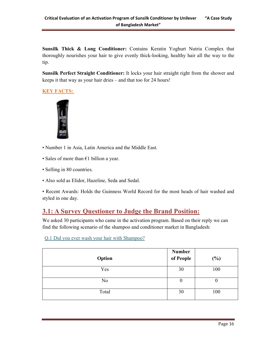**Sunsilk Thick & Long Conditioner:** Contains Keratin Yoghurt Nutria Complex that thoroughly nourishes your hair to give evenly thick-looking, healthy hair all the way to the tip.

**Sunsilk Perfect Straight Conditioner:** It locks your hair straight right from the shower and keeps it that way as your hair dries – and that too for 24 hours!

#### **KEY FACTS:**



- Number 1 in Asia, Latin America and the Middle East.
- Sales of more than  $E1$  billion a year.
- Selling in 80 countries.
- Also sold as Elidor, Hazeline, Seda and Sedal.

• Recent Awards: Holds the Guinness World Record for the most heads of hair washed and styled in one day.

## **3.1: A Survey Questioner to Judge the Brand Position:**

We asked 30 participants who came in the activation program. Based on their reply we can find the following scenario of the shampoo and conditioner market in Bangladesh:

| Option         | Number<br>of People | $(\%)$ |
|----------------|---------------------|--------|
| Yes            | 30                  | 100    |
| N <sub>0</sub> | U                   | U      |
| Total          | 30                  | 100    |

#### Q.1 Did you ever wash your hair with Shampoo?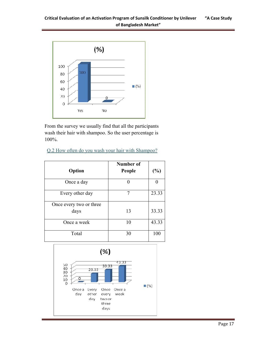

From the survey we usually find that all the participants wash their hair with shampoo. So the user percentage is 100%.

| O.2 How often do you wash your hair with Shampoo? |  |  |
|---------------------------------------------------|--|--|
|                                                   |  |  |
|                                                   |  |  |

| Option                  | Number of<br>People | $(\%)$ |
|-------------------------|---------------------|--------|
| Once a day              |                     |        |
| Every other day         | 7                   | 23.33  |
| Once every two or three |                     |        |
| days                    | 13                  | 33.33  |
| Once a week             | 10                  | 43.33  |
| Total                   | 30                  | 100    |

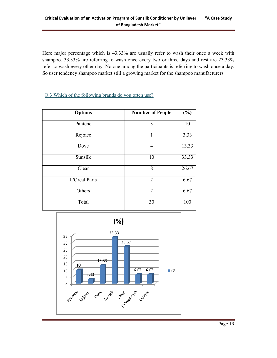Here major percentage which is 43.33% are usually refer to wash their once a week with shampoo. 33.33% are referring to wash once every two or three days and rest are 23.33% refer to wash every other day. No one among the participants is referring to wash once a day. So user tendency shampoo market still a growing market for the shampoo manufacturers.

#### Q.3 Which of the following brands do you often use?

| <b>Options</b> | <b>Number of People</b> | $(\%)$ |
|----------------|-------------------------|--------|
| Pantene        | 3                       | 10     |
| Rejoice        |                         | 3.33   |
| Dove           | $\overline{4}$          | 13.33  |
| Sunsilk        | 10                      | 33.33  |
| Clear          | 8                       | 26.67  |
| L'Oreal Paris  | $\overline{2}$          | 6.67   |
| Others         | $\overline{2}$          | 6.67   |
| Total          | 30                      | 100    |

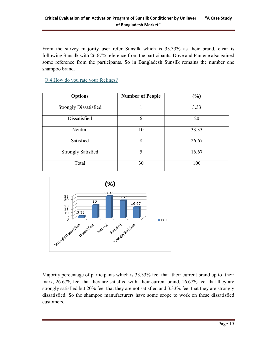From the survey majority user refer Sunsilk which is 33.33% as their brand, clear is following Sunsilk with 26.67% reference from the participants. Dove and Pantene also gained some reference from the participants. So in Bangladesh Sunsilk remains the number one shampoo brand.

Q.4 How do you rate your feelings?

| <b>Options</b>               | <b>Number of People</b> | $(\%)$ |
|------------------------------|-------------------------|--------|
| <b>Strongly Dissatisfied</b> |                         | 3.33   |
| Dissatisfied                 | 6                       | 20     |
| Neutral                      | 10                      | 33.33  |
| Satisfied                    | 8                       | 26.67  |
| <b>Strongly Satisfied</b>    | 5                       | 16.67  |
| Total                        | 30                      | 100    |



Majority percentage of participants which is 33.33% feel that their current brand up to their mark, 26.67% feel that they are satisfied with their current brand, 16.67% feel that they are strongly satisfied but 20% feel that they are not satisfied and 3.33% feel that they are strongly dissatisfied. So the shampoo manufacturers have some scope to work on these dissatisfied customers.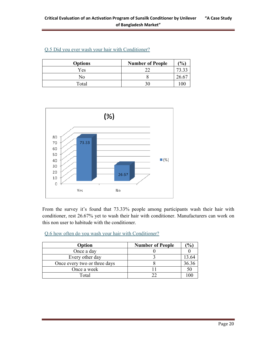| <b>Options</b> | <b>Number of People</b> | $($ % $)$      |
|----------------|-------------------------|----------------|
| Yes            |                         |                |
| No             |                         | $26.6^{\circ}$ |
| Total          |                         |                |

#### Q.5 Did you ever wash your hair with Conditioner?



From the survey it's found that 73.33% people among participants wash their hair with conditioner, rest 26.67% yet to wash their hair with conditioner. Manufacturers can work on this non user to habitude with the conditioner.

Q.6 how often do you wash your hair with Conditioner?

| Option                       | <b>Number of People</b> | $\frac{1}{2}$ |
|------------------------------|-------------------------|---------------|
| Once a day                   |                         |               |
| Every other day              |                         |               |
| Once every two or three days |                         |               |
| Once a week                  |                         | 50            |
| Total                        |                         |               |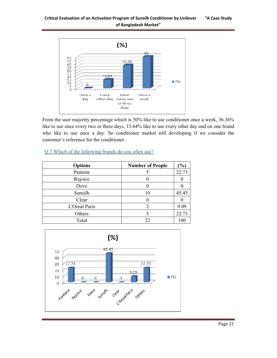

From the user majority percentage which is 50% like to use conditioner once a week, 36.36% like to use once every two or three days, 13.64% like to use every other day and on one found who like to use once a day. So conditioner market still developing if we consider the customer's reference for the conditioner.

| <b>Options</b> | <b>Number of People</b> | $($ %) |
|----------------|-------------------------|--------|
| Pantene        |                         | 22.73  |
| Rejoice        |                         |        |
| Dove           |                         |        |
| Sunsilk        | 10                      | 45.45  |
| Clear          |                         |        |
| L'Oreal Paris  | ာ                       | 9.09   |
| Others         |                         | 22.73  |
| Total          | 22                      | 100    |

#### Q.7 Which of the following brands do you often use?

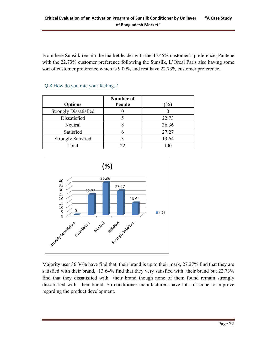From here Sunsilk remain the market leader with the 45.45% customer's preference, Pantene with the 22.73% customer preference following the Sunsilk, L'Oreal Paris also having some sort of customer preference which is 9.09% and rest have 22.73% customer preference.

| <b>Options</b>               | Number of<br>People | $\%$  |
|------------------------------|---------------------|-------|
| <b>Strongly Dissatisfied</b> |                     |       |
| Dissatisfied                 |                     | 22.73 |
| Neutral                      |                     | 36.36 |
| Satisfied                    |                     | 27.27 |
| <b>Strongly Satisfied</b>    |                     | 13.64 |
| Total                        | 22                  | 100   |

#### Q.8 How do you rate your feelings?



Majority user 36.36% have find that their brand is up to their mark, 27.27% find that they are satisfied with their brand, 13.64% find that they very satisfied with their brand but 22.73% find that they dissatisfied with their brand though none of them found remain strongly dissatisfied with their brand. So conditioner manufacturers have lots of scope to improve regarding the product development.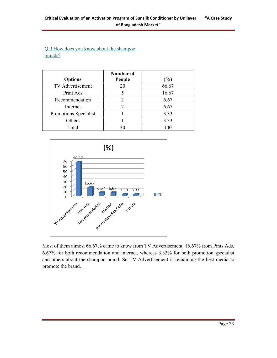#### Q.9 How does you know about the shampoo brands?

| <b>Options</b>          | Number of<br>People | $\%$  |
|-------------------------|---------------------|-------|
| <b>TV</b> Advertisement | 20                  | 66.67 |
| Print Ads               |                     | 16.67 |
| Recommendation          | 2                   | 6.67  |
| Internet                |                     | 6.67  |
| Promotions Specialist   |                     | 3.33  |
| Others                  |                     | 3.33  |
| Total                   |                     | 100   |



Most of them almost 66.67% came to know from TV Advertisement, 16.67% from Pints Ads, 6.67% for both recommendation and internet, whereas 3.33% for both promotion specialist and others about the shampoo brand. So TV Advertisement is remaining the best media to promote the brand.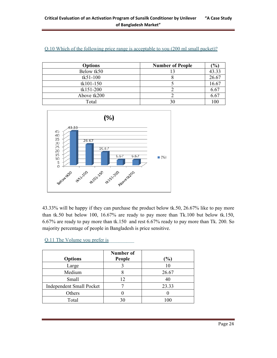| <b>Options</b> | <b>Number of People</b> | (%)   |
|----------------|-------------------------|-------|
| Below tk50     |                         | 43.33 |
| $tk51-100$     |                         | 26.67 |
| tk101-150      |                         | 16.67 |
| tk151-200      |                         | 6.67  |
| Above tk200    |                         | 6.67  |
| Total          |                         | 100   |

| Q.10 Which of the following price range is acceptable to you (200 ml small packet)? |
|-------------------------------------------------------------------------------------|
|-------------------------------------------------------------------------------------|



43.33% will be happy if they can purchase the product below tk.50, 26.67% like to pay more than tk.50 but below 100, 16.67% are ready to pay more than Tk.100 but below tk.150, 6.67% are ready to pay more than tk.150 and rest 6.67% ready to pay more than Tk. 200. So majority percentage of people in Bangladesh is price sensitive.

| Q.11 The Volume you prefer is |  |  |  |
|-------------------------------|--|--|--|
|                               |  |  |  |

| <b>Options</b>                  | Number of<br>People | $\%$  |
|---------------------------------|---------------------|-------|
| Large                           |                     | 10    |
| Medium                          |                     | 26.67 |
| Small                           | 12                  | 40    |
| <b>Independent Small Pocket</b> |                     | 23.33 |
| Others                          |                     |       |
| Total                           |                     |       |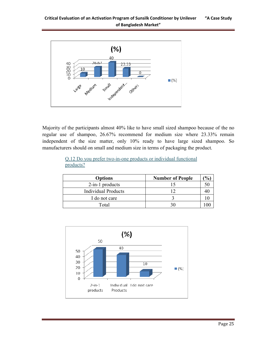

Majority of the participants almost 40% like to have small sized shampoo because of the no regular use of shampoo, 26.67% recommend for medium size where 23.33% remain independent of the size matter, only 10% ready to have large sized shampoo. So manufacturers should on small and medium size in terms of packaging the product.

|           |  | Q.12 Do you prefer two-in-one products or individual functional |  |  |
|-----------|--|-----------------------------------------------------------------|--|--|
| products? |  |                                                                 |  |  |

| <b>Number of People</b> | $\mathcal{O}_0$ |
|-------------------------|-----------------|
|                         |                 |
| 1 າ                     |                 |
|                         |                 |
| 30                      |                 |
|                         |                 |

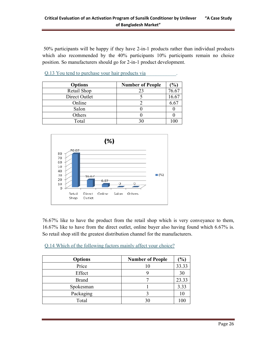50% participants will be happy if they have 2-in-1 products rather than individual products which also recommended by the 40% participants 10% participants remain no choice position. So manufacturers should go for 2-in-1 product development.

|  |  |  |  | 0.13 You tend to purchase your hair products via |  |  |
|--|--|--|--|--------------------------------------------------|--|--|
|  |  |  |  |                                                  |  |  |

| <b>Options</b> | <b>Number of People</b> | $\mathcal{O}_0$ |
|----------------|-------------------------|-----------------|
| Retail Shop    | 23                      | 76.67           |
| Direct Outlet  |                         | 16.67           |
| Online         |                         | 6.67            |
| Salon          |                         |                 |
| Others         |                         |                 |
| Total          |                         |                 |



76.67% like to have the product from the retail shop which is very conveyance to them, 16.67% like to have from the direct outlet, online buyer also having found which 6.67% is. So retail shop still the greatest distribution channel for the manufacturers.

Q.14 Which of the following factors mainly affect your choice?

| <b>Options</b> | <b>Number of People</b> | $\frac{1}{2}$ |
|----------------|-------------------------|---------------|
| Price          |                         | 33.33         |
| Effect         |                         | 30            |
| <b>Brand</b>   |                         | 23.33         |
| Spokesman      |                         | 3.33          |
| Packaging      |                         |               |
| Total          |                         |               |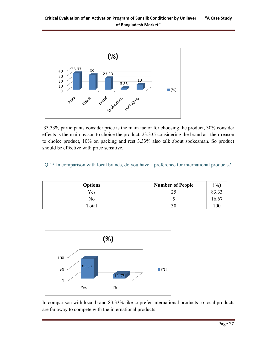

 33.33% participants consider price is the main factor for choosing the product, 30% consider effects is the main reason to choice the product, 23.335 considering the brand as their reason to choice product, 10% on packing and rest 3.33% also talk about spokesman. So product should be effective with price sensitive.

#### Q.15 In comparison with local brands, do you have a preference for international products?

| <b>Options</b> | <b>Number of People</b> | $\frac{1}{2}$ |
|----------------|-------------------------|---------------|
| Yes            | ◠                       | 02.22         |
| No             |                         | 16.6          |
| Total          | 30                      | 100           |



In comparison with local brand 83.33% like to prefer international products so local products are far away to compete with the international products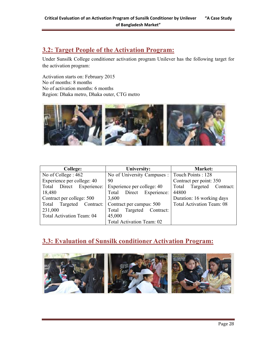## **3.2: Target People of the Activation Program:**

Under Sunsilk College conditioner activation program Unilever has the following target for the activation program:

Activation starts on: February 2015 No of months: 8 months No of activation months: 6 months Region: Dhaka metro, Dhaka outer, CTG metro



| College:                    | University:                        | Market:                          |
|-----------------------------|------------------------------------|----------------------------------|
| No of College: 462          | No of University Campuses :        | Touch Points: 128                |
| Experience per college: 40  | 90                                 | Contract per point: 350          |
| Total Direct<br>Experience: | Experience per college: 40         | Targeted<br>Contract:<br>Total   |
| 18,480                      | Direct Experience:<br>Total        | 44800                            |
| Contract per college: 500   | 3,600                              | Duration: 16 working days        |
| Total Targeted              | Contract: Contract per campus: 500 | <b>Total Activation Team: 08</b> |
| 231,000                     | Contract:<br>Targeted<br>Total     |                                  |
| Total Activation Team: 04   | 45,000                             |                                  |
|                             | Total Activation Team: 02          |                                  |

## **3.3: Evaluation of Sunsilk conditioner Activation Program:**

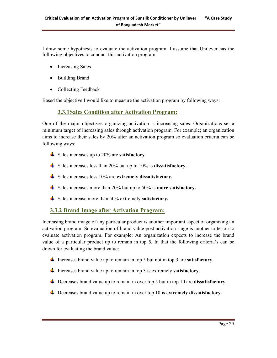I draw some hypothesis to evaluate the activation program. I assume that Unilever has the following objectives to conduct this activation program:

- Increasing Sales
- Building Brand
- Collecting Feedback

Based the objective I would like to measure the activation program by following ways:

#### **3.3.1Sales Condition after Activation Program:**

One of the major objectives organizing activation is increasing sales. Organizations set a minimum target of increasing sales through activation program. For example; an organization aims to increase their sales by 20% after an activation program so evaluation criteria can be following ways:

- $\frac{1}{\text{≤}}$  Sales increases up to 20% are **satisfactory.**
- Sales increases less than 20% but up to 10% is **dissatisfactory.**
- Sales increases less 10% are **extremely dissatisfactory.**
- Sales increases more than 20% but up to 50% is **more satisfactory.**
- $\frac{1}{\sqrt{2}}$  Sales increase more than 50% extremely **satisfactory.**

#### **3.3.2 Brand Image after Activation Program:**

Increasing brand image of any particular product is another important aspect of organizing an activation program. So evaluation of brand value post activation stage is another criterion to evaluate activation program. For example: An organization expects to increase the brand value of a particular product up to remain in top 5. In that the following criteria's can be drawn for evaluating the brand value:

- Increases brand value up to remain in top 5 but not in top 3 are **satisfactory**.
- Increases brand value up to remain in top 3 is extremely **satisfactory**.
- Decreases brand value up to remain in over top 5 but in top 10 are **dissatisfactory**.
- Decreases brand value up to remain in over top 10 is **extremely dissatisfactory.**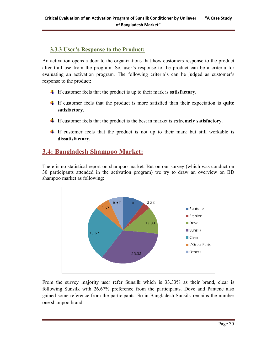#### **3.3.3 User's Response to the Product:**

An activation opens a door to the organizations that how customers response to the product after trail use from the program. So, user's response to the product can be a criteria for evaluating an activation program. The following criteria's can be judged as customer's response to the product:

- If customer feels that the product is up to their mark is **satisfactory**.
- If customer feels that the product is more satisfied than their expectation is **quite satisfactory**.
- If customer feels that the product is the best in market is **extremely satisfactory**.
- If customer feels that the product is not up to their mark but still workable is **dissatisfactory.**

## **3.4: Bangladesh Shampoo Market:**

There is no statistical report on shampoo market. But on our survey (which was conduct on 30 participants attended in the activation program) we try to draw an overview on BD shampoo market as following:



From the survey majority user refer Sunsilk which is 33.33% as their brand, clear is following Sunsilk with 26.67% preference from the participants. Dove and Pantene also gained some reference from the participants. So in Bangladesh Sunsilk remains the number one shampoo brand.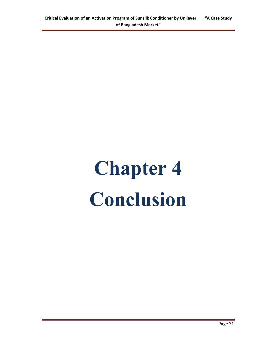# **Chapter 4 Conclusion**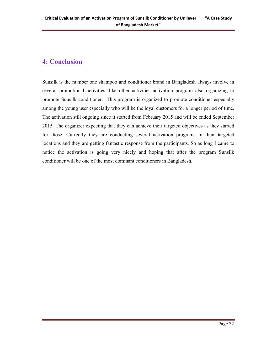## **4: Conclusion**

Sunsilk is the number one shampoo and conditioner brand in Bangladesh always involve in several promotional activities, like other activities activation program also organizing to promote Sunsilk conditioner. This program is organized to promote conditioner especially among the young user especially who will be the loyal customers for a longer period of time. The activation still ongoing since it started from February 2015 and will be ended September 2015. The organizer expecting that they can achieve their targeted objectives as they started for those. Currently they are conducting several activation programs in their targeted locations and they are getting fantastic response from the participants. So as long I came to notice the activation is going very nicely and hoping that after the program Sunsilk conditioner will be one of the most dominant conditioners in Bangladesh.